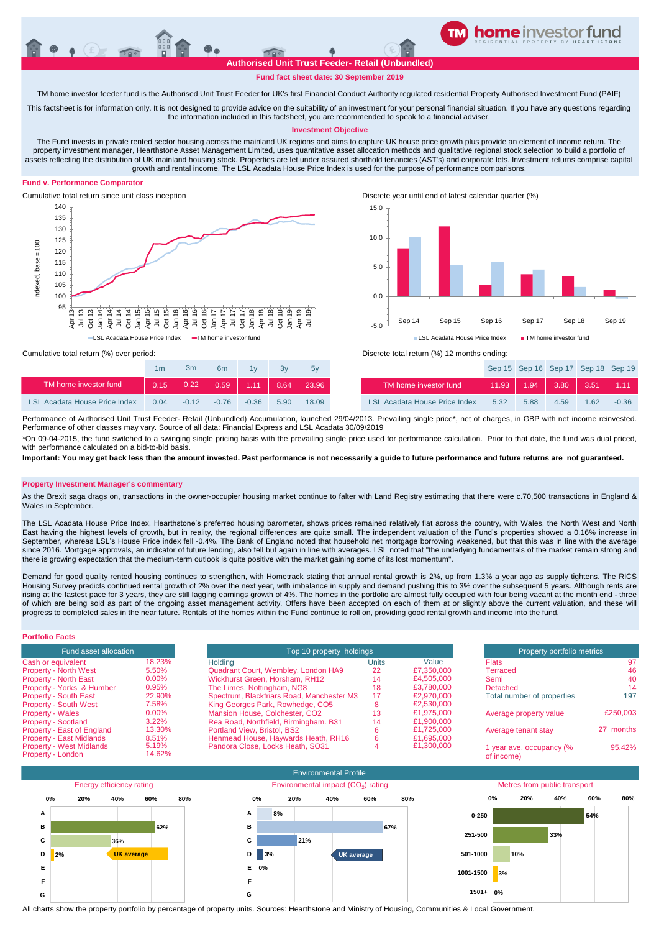**Authorised Unit Trust Feeder- Retail (Unbundled)**

**TM home investor feeder fund**

# **Fund fact sheet date: 30 September 2019**

TM home investor feeder fund is the Authorised Unit Trust Feeder for UK's first Financial Conduct Authority regulated residential Property Authorised Investment Fund (PAIF)

This factsheet is for information only. It is not designed to provide advice on the suitability of an investment for your personal financial situation. If you have any questions regarding the information included in this factsheet, you are recommended to speak to a financial adviser.

## **Investment Objective**

The Fund invests in private rented sector housing across the mainland UK regions and aims to capture UK house price growth plus provide an element of income return. The property investment manager, Hearthstone Asset Management Limited, uses quantitative asset allocation methods and qualitative regional stock selection to build a portfolio of assets reflecting the distribution of UK mainland housing stock. Properties are let under assured shorthold tenancies (AST's) and corporate lets. Investment returns comprise capital growth and rental income. The LSL Acadata House Price Index is used for the purpose of performance comparisons.

### **Fund v. Performance Comparator**





Cumulative total return (%) over period: Discrete total return (%) 12 months ending:

|                               | 1m          | 3m      | 6m      | 1v                  | 3v   | 5v    |                                      |      | Sep 15 Sep 16 Sep 17 Sep 18 Sep 1   |      |      |         |
|-------------------------------|-------------|---------|---------|---------------------|------|-------|--------------------------------------|------|-------------------------------------|------|------|---------|
| TM home investor fund         | $\sim$ 0.15 | 0.22    | 0.59    | $\blacksquare$ 1.11 | 8.64 | 23.96 | TM home investor fund                |      | $11.93$   1.94   3.80   3.51   1.11 |      |      |         |
| LSL Acadata House Price Index | 0.04        | $-0.12$ | $-0.76$ | $-0.36$             | 5.90 | 18.09 | <b>LSL Acadata House Price Index</b> | 5.32 | 5.88                                | 4.59 | 1.62 | $-0.36$ |

Performance of Authorised Unit Trust Feeder- Retail (Unbundled) Accumulation, launched 29/04/2013. Prevailing single price\*, net of charges, in GBP with net income reinvested Performance of other classes may vary. Source of all data: Financial Express and LSL Acadata 30/09/2019

\*On 09-04-2015, the fund switched to a swinging single pricing basis with the prevailing single price used for performance calculation. Prior to that date, the fund was dual priced, with performance calculated on a bid-to-bid basis

**Important: You may get back less than the amount invested. Past performance is not necessarily a guide to future performance and future returns are not guaranteed.** 

## **Property Investment Manager's commentary**

As the Brexit saga drags on, transactions in the owner-occupier housing market continue to falter with Land Registry estimating that there were c.70,500 transactions in England & Wales in September.

The LSL Acadata House Price Index, Hearthstone's preferred housing barometer, shows prices remained relatively flat across the country, with Wales, the North West and North East having the highest levels of growth, but in reality, the regional differences are quite small. The independent valuation of the Fund's properties showed a 0.16% increase in September, whereas LSL's House Price index fell -0.4%. The Bank of England noted that household net mortgage borrowing weakened, but that this was in line with the average since 2016. Mortgage approvals, an indicator of future lending, also fell but again in line with averages. LSL noted that "the underlying fundamentals of the market remain strong and there is growing expectation that the medium-term outlook is quite positive with the market gaining some of its lost momentum".

Demand for good quality rented housing continues to strengthen, with Hometrack stating that annual rental growth is 2%, up from 1.3% a year ago as supply tightens. The RICS Housing Survey predicts continued rental growth of 2% over the next year, with imbalance in supply and demand pushing this to 3% over the subsequent 5 years. Although rents are rising at the fastest pace for 3 years, they are still lagging earnings growth of 4%. The homes in the portfolio are almost fully occupied with four being vacant at the month end - three of which are being sold as part of the ongoing asset management activity. Offers have been accepted on each of them at or slightly above the current valuation, and these will progress to completed sales in the near future. Rentals of the homes within the Fund continue to roll on, providing good rental growth and income into the fund.

| <b>Portfolio Facts</b>                               |                 |                                           |                          |            |                                        |           |
|------------------------------------------------------|-----------------|-------------------------------------------|--------------------------|------------|----------------------------------------|-----------|
| Fund asset allocation                                |                 |                                           | Top 10 property holdings |            |                                        |           |
| Cash or equivalent                                   | 18.23%          | <b>Holding</b>                            | <b>Units</b>             | Value      | <b>Flats</b>                           | 97        |
| <b>Property - North West</b>                         | 5.50%           | Quadrant Court, Wembley, London HA9       | 22                       | £7,350,000 | Terraced                               | 46        |
| <b>Property - North East</b>                         | $0.00\%$        | Wickhurst Green, Horsham, RH12            | 14                       | £4,505,000 | Semi                                   | 40        |
| Property - Yorks & Humber                            | 0.95%           | The Limes, Nottingham, NG8                | 18                       | £3.780.000 | Detached                               | 14        |
| <b>Property - South East</b>                         | 22.90%          | Spectrum, Blackfriars Road, Manchester M3 | 17                       | £2,970,000 | Total number of properties             | 197       |
| <b>Property - South West</b>                         | 7.58%           | King Georges Park, Rowhedge, CO5          | o                        | £2,530,000 |                                        |           |
| <b>Property - Wales</b>                              | $0.00\%$        | Mansion House, Colchester, CO2            | 13                       | £1.975.000 | Average property value                 | £250,003  |
| <b>Property - Scotland</b>                           | $3.22\%$        | Rea Road, Northfield, Birmingham. B31     | 14                       | £1.900.000 |                                        |           |
| Property - East of England                           | 13.30%          | Portland View, Bristol, BS2               |                          | £1.725.000 | Average tenant stay                    | 27 months |
| <b>Property - East Midlands</b>                      | 8.51%           | Henmead House, Haywards Heath, RH16       | h                        | £1,695,000 |                                        |           |
| <b>Property - West Midlands</b><br>Property - London | 5.19%<br>14.62% | Pandora Close, Locks Heath, SO31          |                          | £1.300.000 | 1 year ave. occupancy (%<br>of income) | 95.42%    |



All charts show the property portfolio by percentage of property units. Sources: Hearthstone and Ministry of Housing, Communities & Local Government.